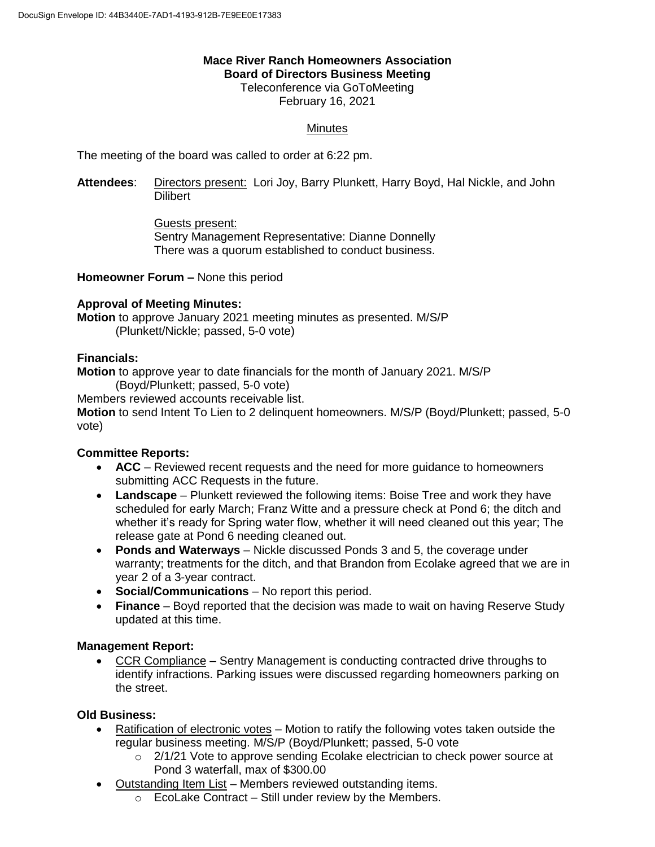## **Mace River Ranch Homeowners Association Board of Directors Business Meeting**

Teleconference via GoToMeeting February 16, 2021

## **Minutes**

The meeting of the board was called to order at 6:22 pm.

**Attendees**: Directors present: Lori Joy, Barry Plunkett, Harry Boyd, Hal Nickle, and John **Dilibert** 

> Guests present: Sentry Management Representative: Dianne Donnelly There was a quorum established to conduct business.

**Homeowner Forum –** None this period

### **Approval of Meeting Minutes:**

**Motion** to approve January 2021 meeting minutes as presented. M/S/P (Plunkett/Nickle; passed, 5-0 vote)

### **Financials:**

**Motion** to approve year to date financials for the month of January 2021. M/S/P (Boyd/Plunkett; passed, 5-0 vote)

Members reviewed accounts receivable list.

**Motion** to send Intent To Lien to 2 delinquent homeowners. M/S/P (Boyd/Plunkett; passed, 5-0 vote)

# **Committee Reports:**

- **ACC** Reviewed recent requests and the need for more guidance to homeowners submitting ACC Requests in the future.
- **Landscape** Plunkett reviewed the following items: Boise Tree and work they have scheduled for early March; Franz Witte and a pressure check at Pond 6; the ditch and whether it's ready for Spring water flow, whether it will need cleaned out this year; The release gate at Pond 6 needing cleaned out.
- **Ponds and Waterways** Nickle discussed Ponds 3 and 5, the coverage under warranty; treatments for the ditch, and that Brandon from Ecolake agreed that we are in year 2 of a 3-year contract.
- **Social/Communications** No report this period.
- **Finance** Boyd reported that the decision was made to wait on having Reserve Study updated at this time.

### **Management Report:**

 CCR Compliance – Sentry Management is conducting contracted drive throughs to identify infractions. Parking issues were discussed regarding homeowners parking on the street.

### **Old Business:**

- Ratification of electronic votes Motion to ratify the following votes taken outside the regular business meeting. M/S/P (Boyd/Plunkett; passed, 5-0 vote
	- o 2/1/21 Vote to approve sending Ecolake electrician to check power source at Pond 3 waterfall, max of \$300.00
- Outstanding Item List Members reviewed outstanding items.
	- $\circ$  EcoLake Contract Still under review by the Members.